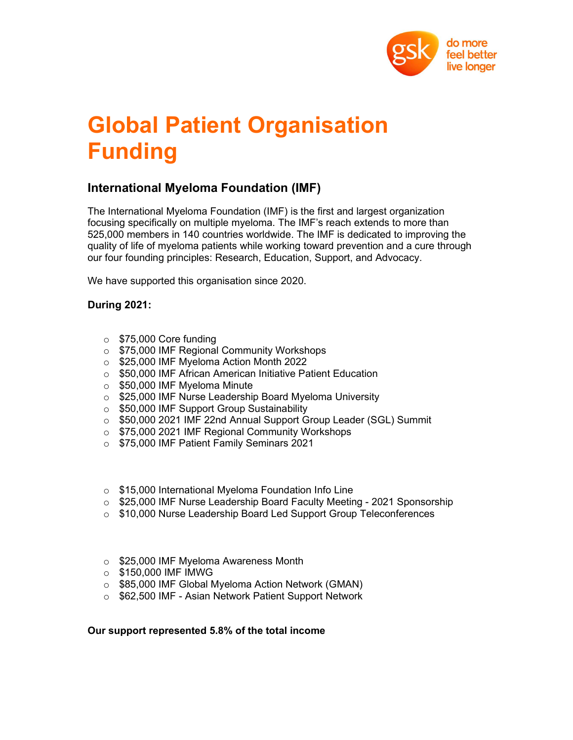

## Global Patient Organisation Funding

## International Myeloma Foundation (IMF)

The International Myeloma Foundation (IMF) is the first and largest organization focusing specifically on multiple myeloma. The IMF's reach extends to more than 525,000 members in 140 countries worldwide. The IMF is dedicated to improving the quality of life of myeloma patients while working toward prevention and a cure through our four founding principles: Research, Education, Support, and Advocacy.

We have supported this organisation since 2020.

## During 2021:

- o \$75,000 Core funding
- o \$75,000 IMF Regional Community Workshops
- o \$25,000 IMF Myeloma Action Month 2022
- o \$50,000 IMF African American Initiative Patient Education
- o \$50,000 IMF Myeloma Minute
- o \$25,000 IMF Nurse Leadership Board Myeloma University
- o \$50,000 IMF Support Group Sustainability
- o \$50,000 2021 IMF 22nd Annual Support Group Leader (SGL) Summit
- o \$75,000 2021 IMF Regional Community Workshops
- o \$75,000 IMF Patient Family Seminars 2021
- o \$15,000 International Myeloma Foundation Info Line
- $\circ$  \$25,000 IMF Nurse Leadership Board Faculty Meeting 2021 Sponsorship
- o \$10,000 Nurse Leadership Board Led Support Group Teleconferences
- o \$25,000 IMF Myeloma Awareness Month
- o \$150,000 IMF IMWG
- o \$85,000 IMF Global Myeloma Action Network (GMAN)
- o \$62,500 IMF Asian Network Patient Support Network

Our support represented 5.8% of the total income